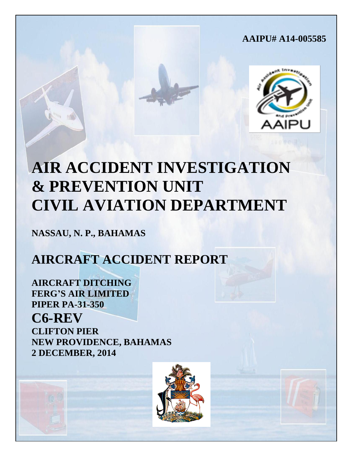# **AAIPU# A14-005585**



# **AIR ACCIDENT INVESTIGATION & PREVENTION UNIT CIVIL AVIATION DEPARTMENT**

**NASSAU, N. P., BAHAMAS**

# **AIRCRAFT ACCIDENT REPORT**

**AIRCRAFT DITCHING FERG'S AIR LIMITED PIPER PA-31-350 C6-REV CLIFTON PIER NEW PROVIDENCE, BAHAMAS 2 DECEMBER, 2014**



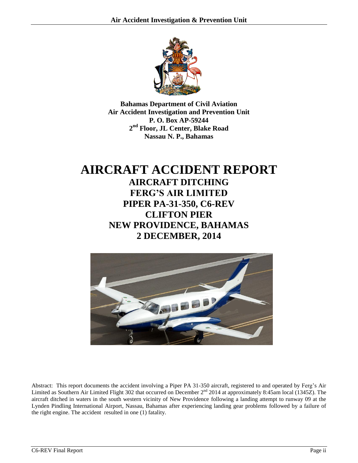

**Bahamas Department of Civil Aviation Air Accident Investigation and Prevention Unit P. O. Box AP-59244 2 nd Floor, JL Center, Blake Road Nassau N. P., Bahamas**

# **AIRCRAFT ACCIDENT REPORT AIRCRAFT DITCHING FERG'S AIR LIMITED PIPER PA-31-350, C6-REV CLIFTON PIER NEW PROVIDENCE, BAHAMAS 2 DECEMBER, 2014**



Abstract: This report documents the accident involving a Piper PA 31-350 aircraft, registered to and operated by Ferg's Air Limited as Southern Air Limited Flight 302 that occurred on December 2<sup>nd</sup> 2014 at approximately 8:45am local (1345Z). The aircraft ditched in waters in the south western vicinity of New Providence following a landing attempt to runway 09 at the Lynden Pindling International Airport, Nassau, Bahamas after experiencing landing gear problems followed by a failure of the right engine. The accident resulted in one (1) fatality.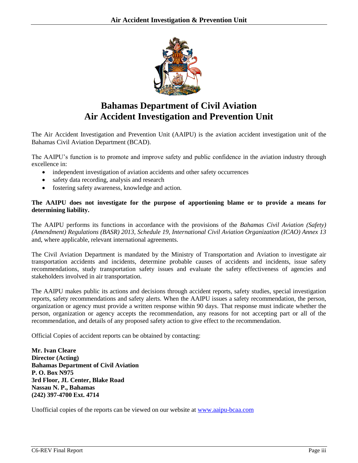

# **Bahamas Department of Civil Aviation Air Accident Investigation and Prevention Unit**

The Air Accident Investigation and Prevention Unit (AAIPU) is the aviation accident investigation unit of the Bahamas Civil Aviation Department (BCAD).

The AAIPU's function is to promote and improve safety and public confidence in the aviation industry through excellence in:

- independent investigation of aviation accidents and other safety occurrences
- safety data recording, analysis and research
- fostering safety awareness, knowledge and action.

#### **The AAIPU does not investigate for the purpose of apportioning blame or to provide a means for determining liability.**

The AAIPU performs its functions in accordance with the provisions of the *Bahamas Civil Aviation (Safety) (Amendment) Regulations (BASR) 2013, Schedule 19, International Civil Aviation Organization (ICAO) Annex 13*  and, where applicable, relevant international agreements.

The Civil Aviation Department is mandated by the Ministry of Transportation and Aviation to investigate air transportation accidents and incidents, determine probable causes of accidents and incidents, issue safety recommendations, study transportation safety issues and evaluate the safety effectiveness of agencies and stakeholders involved in air transportation.

The AAIPU makes public its actions and decisions through accident reports, safety studies, special investigation reports, safety recommendations and safety alerts. When the AAIPU issues a safety recommendation, the person, organization or agency must provide a written response within 90 days. That response must indicate whether the person, organization or agency accepts the recommendation, any reasons for not accepting part or all of the recommendation, and details of any proposed safety action to give effect to the recommendation.

Official Copies of accident reports can be obtained by contacting:

**Mr. Ivan Cleare Director (Acting) Bahamas Department of Civil Aviation P. O. Box N975 3rd Floor, JL Center, Blake Road Nassau N. P., Bahamas (242) 397-4700 Ext. 4714**

Unofficial copies of the reports can be viewed on our website at [www.aaipu-bcaa.com](http://www.aaipu-bcaa.com/)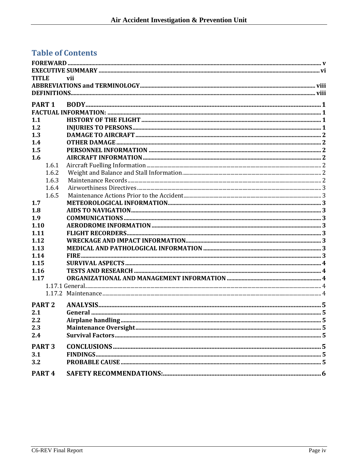# **Table of Contents**

| <b>TITLE</b>      | vii |  |
|-------------------|-----|--|
|                   |     |  |
|                   |     |  |
| PART <sub>1</sub> |     |  |
|                   |     |  |
| 1.1               |     |  |
| 1.2               |     |  |
| 1.3               |     |  |
| 1.4               |     |  |
| 1.5               |     |  |
| 1.6               |     |  |
| 1.6.1             |     |  |
| 1.6.2             |     |  |
| 1.6.3             |     |  |
| 1.6.4             |     |  |
| 1.6.5             |     |  |
| 1.7               |     |  |
| 1.8               |     |  |
| 1.9               |     |  |
| 1.10              |     |  |
| 1.11              |     |  |
| 1.12              |     |  |
| 1.13              |     |  |
| 1.14              |     |  |
| 1.15              |     |  |
| 1.16              |     |  |
| 1.17              |     |  |
|                   |     |  |
|                   |     |  |
| PART <sub>2</sub> |     |  |
| 2.1               |     |  |
| 2.2               |     |  |
| 2.3               |     |  |
| 2.4               |     |  |
| PART <sub>3</sub> |     |  |
|                   |     |  |
| 3.1               |     |  |
| 3.2               |     |  |
| PART <sub>4</sub> |     |  |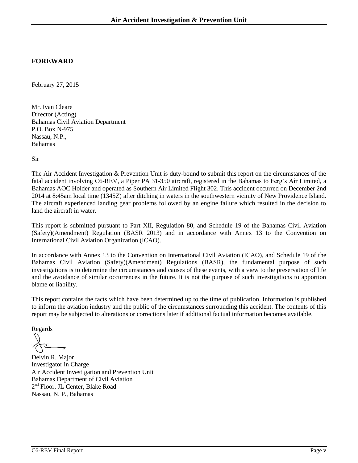#### <span id="page-4-0"></span>**FOREWARD**

February 27, 2015

Mr. Ivan Cleare Director (Acting) Bahamas Civil Aviation Department P.O. Box N-975 Nassau, N.P., Bahamas

Sir

The Air Accident Investigation & Prevention Unit is duty-bound to submit this report on the circumstances of the fatal accident involving C6-REV, a Piper PA 31-350 aircraft, registered in the Bahamas to Ferg's Air Limited, a Bahamas AOC Holder and operated as Southern Air Limited Flight 302. This accident occurred on December 2nd 2014 at 8:45am local time (1345Z) after ditching in waters in the southwestern vicinity of New Providence Island. The aircraft experienced landing gear problems followed by an engine failure which resulted in the decision to land the aircraft in water.

This report is submitted pursuant to Part XII, Regulation 80, and Schedule 19 of the Bahamas Civil Aviation (Safety)(Amendment) Regulation (BASR 2013) and in accordance with Annex 13 to the Convention on International Civil Aviation Organization (ICAO).

In accordance with Annex 13 to the Convention on International Civil Aviation (ICAO), and Schedule 19 of the Bahamas Civil Aviation (Safety)(Amendment) Regulations (BASR), the fundamental purpose of such investigations is to determine the circumstances and causes of these events, with a view to the preservation of life and the avoidance of similar occurrences in the future. It is not the purpose of such investigations to apportion blame or liability.

This report contains the facts which have been determined up to the time of publication. Information is published to inform the aviation industry and the public of the circumstances surrounding this accident. The contents of this report may be subjected to alterations or corrections later if additional factual information becomes available.

Regards

Delvin R. Major Investigator in Charge Air Accident Investigation and Prevention Unit Bahamas Department of Civil Aviation 2<sup>nd</sup> Floor, JL Center, Blake Road Nassau, N. P., Bahamas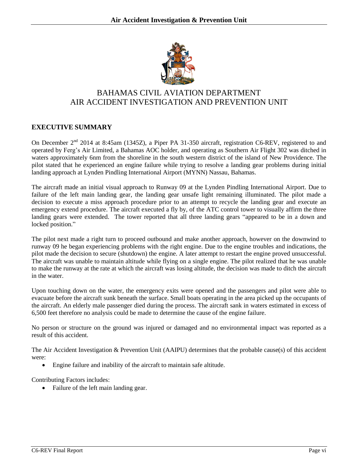

## BAHAMAS CIVIL AVIATION DEPARTMENT AIR ACCIDENT INVESTIGATION AND PREVENTION UNIT

#### <span id="page-5-0"></span>**EXECUTIVE SUMMARY**

On December 2<sup>nd</sup> 2014 at 8:45am (1345Z), a Piper PA 31-350 aircraft, registration C6-REV, registered to and operated by Ferg's Air Limited, a Bahamas AOC holder, and operating as Southern Air Flight 302 was ditched in waters approximately 6nm from the shoreline in the south western district of the island of New Providence. The pilot stated that he experienced an engine failure while trying to resolve a landing gear problems during initial landing approach at Lynden Pindling International Airport (MYNN) Nassau, Bahamas.

The aircraft made an initial visual approach to Runway 09 at the Lynden Pindling International Airport. Due to failure of the left main landing gear, the landing gear unsafe light remaining illuminated. The pilot made a decision to execute a miss approach procedure prior to an attempt to recycle the landing gear and execute an emergency extend procedure. The aircraft executed a fly by, of the ATC control tower to visually affirm the three landing gears were extended. The tower reported that all three landing gears "appeared to be in a down and locked position."

The pilot next made a right turn to proceed outbound and make another approach, however on the downwind to runway 09 he began experiencing problems with the right engine. Due to the engine troubles and indications, the pilot made the decision to secure (shutdown) the engine. A later attempt to restart the engine proved unsuccessful. The aircraft was unable to maintain altitude while flying on a single engine. The pilot realized that he was unable to make the runway at the rate at which the aircraft was losing altitude, the decision was made to ditch the aircraft in the water.

Upon touching down on the water, the emergency exits were opened and the passengers and pilot were able to evacuate before the aircraft sunk beneath the surface. Small boats operating in the area picked up the occupants of the aircraft. An elderly male passenger died during the process. The aircraft sank in waters estimated in excess of 6,500 feet therefore no analysis could be made to determine the cause of the engine failure.

No person or structure on the ground was injured or damaged and no environmental impact was reported as a result of this accident.

The Air Accident Investigation & Prevention Unit (AAIPU) determines that the probable cause(s) of this accident were:

Engine failure and inability of the aircraft to maintain safe altitude.

Contributing Factors includes:

• Failure of the left main landing gear.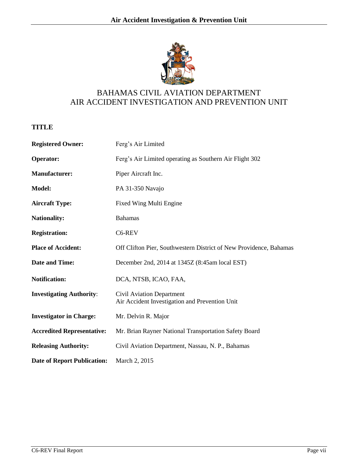

# BAHAMAS CIVIL AVIATION DEPARTMENT AIR ACCIDENT INVESTIGATION AND PREVENTION UNIT

## <span id="page-6-0"></span>**TITLE**

| <b>Registered Owner:</b>           | Ferg's Air Limited                                                                 |  |  |  |
|------------------------------------|------------------------------------------------------------------------------------|--|--|--|
| <b>Operator:</b>                   | Ferg's Air Limited operating as Southern Air Flight 302                            |  |  |  |
| <b>Manufacturer:</b>               | Piper Aircraft Inc.                                                                |  |  |  |
| <b>Model:</b>                      | PA 31-350 Navajo                                                                   |  |  |  |
| <b>Aircraft Type:</b>              | <b>Fixed Wing Multi Engine</b>                                                     |  |  |  |
| <b>Nationality:</b>                | <b>Bahamas</b>                                                                     |  |  |  |
| <b>Registration:</b>               | C6-REV                                                                             |  |  |  |
| <b>Place of Accident:</b>          | Off Clifton Pier, Southwestern District of New Providence, Bahamas                 |  |  |  |
| <b>Date and Time:</b>              | December 2nd, 2014 at 1345Z (8:45am local EST)                                     |  |  |  |
| <b>Notification:</b>               | DCA, NTSB, ICAO, FAA,                                                              |  |  |  |
| <b>Investigating Authority:</b>    | <b>Civil Aviation Department</b><br>Air Accident Investigation and Prevention Unit |  |  |  |
| <b>Investigator in Charge:</b>     | Mr. Delvin R. Major                                                                |  |  |  |
| <b>Accredited Representative:</b>  | Mr. Brian Rayner National Transportation Safety Board                              |  |  |  |
| <b>Releasing Authority:</b>        | Civil Aviation Department, Nassau, N. P., Bahamas                                  |  |  |  |
| <b>Date of Report Publication:</b> | March 2, 2015                                                                      |  |  |  |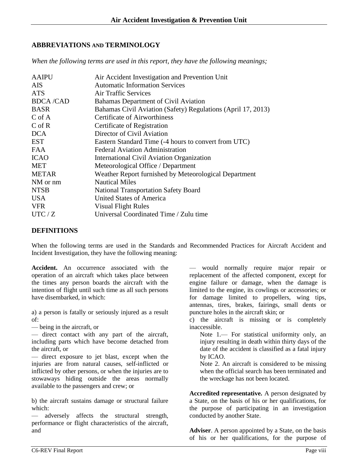#### <span id="page-7-0"></span>**ABBREVIATIONS AND TERMINOLOGY**

*When the following terms are used in this report, they have the following meanings;*

| <b>AAIPU</b>    | Air Accident Investigation and Prevention Unit               |
|-----------------|--------------------------------------------------------------|
| <b>AIS</b>      | <b>Automatic Information Services</b>                        |
| <b>ATS</b>      | <b>Air Traffic Services</b>                                  |
| <b>BDCA/CAD</b> | Bahamas Department of Civil Aviation                         |
| <b>BASR</b>     | Bahamas Civil Aviation (Safety) Regulations (April 17, 2013) |
| $C$ of A        | <b>Certificate of Airworthiness</b>                          |
| $C$ of R        | Certificate of Registration                                  |
| <b>DCA</b>      | Director of Civil Aviation                                   |
| <b>EST</b>      | Eastern Standard Time (-4 hours to convert from UTC)         |
| <b>FAA</b>      | <b>Federal Aviation Administration</b>                       |
| <b>ICAO</b>     | International Civil Aviation Organization                    |
| <b>MET</b>      | Meteorological Office / Department                           |
| <b>METAR</b>    | Weather Report furnished by Meteorological Department        |
| NM or nm        | <b>Nautical Miles</b>                                        |
| <b>NTSB</b>     | <b>National Transportation Safety Board</b>                  |
| <b>USA</b>      | <b>United States of America</b>                              |
| <b>VFR</b>      | <b>Visual Flight Rules</b>                                   |
| UTC/Z           | Universal Coordinated Time / Zulu time                       |

#### <span id="page-7-1"></span>**DEFINITIONS**

When the following terms are used in the Standards and Recommended Practices for Aircraft Accident and Incident Investigation, they have the following meaning:

**Accident.** An occurrence associated with the operation of an aircraft which takes place between the times any person boards the aircraft with the intention of flight until such time as all such persons have disembarked, in which:

a) a person is fatally or seriously injured as a result of:

— being in the aircraft, or

— direct contact with any part of the aircraft, including parts which have become detached from the aircraft, or

— direct exposure to jet blast, except when the injuries are from natural causes, self-inflicted or inflicted by other persons, or when the injuries are to stowaways hiding outside the areas normally available to the passengers and crew; or

b) the aircraft sustains damage or structural failure which:

— adversely affects the structural strength, performance or flight characteristics of the aircraft, and

— would normally require major repair or replacement of the affected component, except for engine failure or damage, when the damage is limited to the engine, its cowlings or accessories; or for damage limited to propellers, wing tips, antennas, tires, brakes, fairings, small dents or puncture holes in the aircraft skin; or

c) the aircraft is missing or is completely inaccessible.

Note 1.— For statistical uniformity only, an injury resulting in death within thirty days of the date of the accident is classified as a fatal injury by ICAO.

Note 2. An aircraft is considered to be missing when the official search has been terminated and the wreckage has not been located.

**Accredited representative.** A person designated by a State, on the basis of his or her qualifications, for the purpose of participating in an investigation conducted by another State.

**Adviser**. A person appointed by a State, on the basis of his or her qualifications, for the purpose of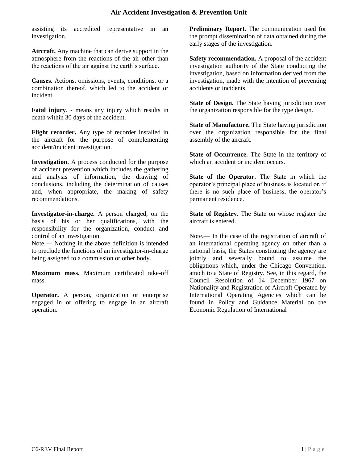assisting its accredited representative in an investigation.

**Aircraft.** Any machine that can derive support in the atmosphere from the reactions of the air other than the reactions of the air against the earth's surface.

**Causes.** Actions, omissions, events, conditions, or a combination thereof, which led to the accident or incident.

**Fatal injury**. - means any injury which results in death within 30 days of the accident.

**Flight recorder.** Any type of recorder installed in the aircraft for the purpose of complementing accident/incident investigation.

**Investigation.** A process conducted for the purpose of accident prevention which includes the gathering and analysis of information, the drawing of conclusions, including the determination of causes and, when appropriate, the making of safety recommendations.

**Investigator-in-charge.** A person charged, on the basis of his or her qualifications, with the responsibility for the organization, conduct and control of an investigation.

Note.— Nothing in the above definition is intended to preclude the functions of an investigator-in-charge being assigned to a commission or other body.

**Maximum mass.** Maximum certificated take-off mass.

**Operator.** A person, organization or enterprise engaged in or offering to engage in an aircraft operation.

**Preliminary Report.** The communication used for the prompt dissemination of data obtained during the early stages of the investigation.

**Safety recommendation.** A proposal of the accident investigation authority of the State conducting the investigation, based on information derived from the investigation, made with the intention of preventing accidents or incidents.

**State of Design.** The State having jurisdiction over the organization responsible for the type design.

**State of Manufacture.** The State having jurisdiction over the organization responsible for the final assembly of the aircraft.

**State of Occurrence.** The State in the territory of which an accident or incident occurs.

**State of the Operator.** The State in which the operator's principal place of business is located or, if there is no such place of business, the operator's permanent residence.

**State of Registry.** The State on whose register the aircraft is entered.

Note.— In the case of the registration of aircraft of an international operating agency on other than a national basis, the States constituting the agency are jointly and severally bound to assume the obligations which, under the Chicago Convention, attach to a State of Registry. See, in this regard, the Council Resolution of 14 December 1967 on Nationality and Registration of Aircraft Operated by International Operating Agencies which can be found in Policy and Guidance Material on the Economic Regulation of International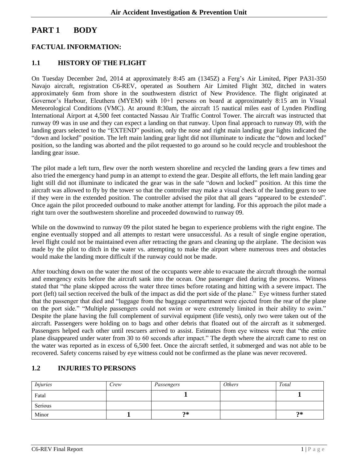# <span id="page-9-0"></span>**PART 1 BODY**

#### <span id="page-9-1"></span>**FACTUAL INFORMATION:**

#### <span id="page-9-2"></span>**1.1 HISTORY OF THE FLIGHT**

On Tuesday December 2nd, 2014 at approximately 8:45 am (1345Z) a Ferg's Air Limited, Piper PA31-350 Navajo aircraft, registration C6-REV, operated as Southern Air Limited Flight 302, ditched in waters approximately 6nm from shore in the southwestern district of New Providence. The flight originated at Governor's Harbour, Eleuthera (MYEM) with 10+1 persons on board at approximately 8:15 am in Visual Meteorological Conditions (VMC). At around 8:30am, the aircraft 15 nautical miles east of Lynden Pindling International Airport at 4,500 feet contacted Nassau Air Traffic Control Tower. The aircraft was instructed that runway 09 was in use and they can expect a landing on that runway. Upon final approach to runway 09, with the landing gears selected to the "EXTEND" position, only the nose and right main landing gear lights indicated the "down and locked" position. The left main landing gear light did not illuminate to indicate the "down and locked" position, so the landing was aborted and the pilot requested to go around so he could recycle and troubleshoot the landing gear issue.

The pilot made a left turn, flew over the north western shoreline and recycled the landing gears a few times and also tried the emergency hand pump in an attempt to extend the gear. Despite all efforts, the left main landing gear light still did not illuminate to indicated the gear was in the safe "down and locked" position. At this time the aircraft was allowed to fly by the tower so that the controller may make a visual check of the landing gears to see if they were in the extended position. The controller advised the pilot that all gears "appeared to be extended". Once again the pilot proceeded outbound to make another attempt for landing. For this approach the pilot made a right turn over the southwestern shoreline and proceeded downwind to runway 09.

While on the downwind to runway 09 the pilot stated he began to experience problems with the right engine. The engine eventually stopped and all attempts to restart were unsuccessful. As a result of single engine operation, level flight could not be maintained even after retracting the gears and cleaning up the airplane. The decision was made by the pilot to ditch in the water vs. attempting to make the airport where numerous trees and obstacles would make the landing more difficult if the runway could not be made.

After touching down on the water the most of the occupants were able to evacuate the aircraft through the normal and emergency exits before the aircraft sank into the ocean. One passenger died during the process. Witness stated that "the plane skipped across the water three times before rotating and hitting with a severe impact. The port (left) tail section received the bulk of the impact as did the port side of the plane." Eye witness further stated that the passenger that died and "luggage from the baggage compartment were ejected from the rear of the plane on the port side." "Multiple passengers could not swim or were extremely limited in their ability to swim." Despite the plane having the full complement of survival equipment (life vests), only two were taken out of the aircraft. Passengers were holding on to bags and other debris that floated out of the aircraft as it submerged. Passengers helped each other until rescuers arrived to assist. Estimates from eye witness were that "the entire plane disappeared under water from 30 to 60 seconds after impact." The depth where the aircraft came to rest on the water was reported as in excess of 6,500 feet. Once the aircraft settled, it submerged and was not able to be recovered. Safety concerns raised by eye witness could not be confirmed as the plane was never recovered.

#### <span id="page-9-3"></span>**1.2 INJURIES TO PERSONS**

| <i>Injuries</i> | Crew | Passengers | <b>Others</b> | Total |
|-----------------|------|------------|---------------|-------|
| Fatal           |      |            |               |       |
| Serious         |      |            |               |       |
| Minor           |      | ク*         |               | $2*$  |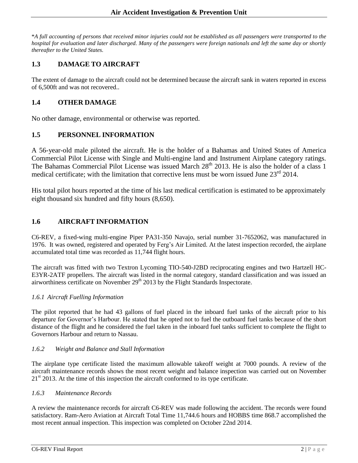\**A full accounting of persons that received minor injuries could not be established as all passengers were transported to the hospital for evaluation and later discharged. Many of the passengers were foreign nationals and left the same day or shortly thereafter to the United States.*

#### <span id="page-10-0"></span>**1.3 DAMAGE TO AIRCRAFT**

The extent of damage to the aircraft could not be determined because the aircraft sank in waters reported in excess of 6,500ft and was not recovered..

#### <span id="page-10-1"></span>**1.4 OTHER DAMAGE**

No other damage, environmental or otherwise was reported.

#### <span id="page-10-2"></span>**1.5 PERSONNEL INFORMATION**

A 56-year-old male piloted the aircraft. He is the holder of a Bahamas and United States of America Commercial Pilot License with Single and Multi-engine land and Instrument Airplane category ratings. The Bahamas Commercial Pilot License was issued March 28<sup>th</sup> 2013. He is also the holder of a class 1 medical certificate; with the limitation that corrective lens must be worn issued June  $23<sup>rd</sup> 2014$ .

His total pilot hours reported at the time of his last medical certification is estimated to be approximately eight thousand six hundred and fifty hours (8,650).

#### <span id="page-10-3"></span>**1.6 AIRCRAFT INFORMATION**

C6-REV, a fixed-wing multi-engine Piper PA31-350 Navajo, serial number 31-7652062, was manufactured in 1976. It was owned, registered and operated by Ferg's Air Limited. At the latest inspection recorded, the airplane accumulated total time was recorded as 11,744 flight hours.

The aircraft was fitted with two Textron Lycoming TIO-540-J2BD reciprocating engines and two Hartzell HC-E3YR-2ATF propellers. The aircraft was listed in the normal category, standard classification and was issued an airworthiness certificate on November 29<sup>th</sup> 2013 by the Flight Standards Inspectorate.

#### <span id="page-10-4"></span>*1.6.1 Aircraft Fuelling Information*

The pilot reported that he had 43 gallons of fuel placed in the inboard fuel tanks of the aircraft prior to his departure for Governor's Harbour. He stated that he opted not to fuel the outboard fuel tanks because of the short distance of the flight and he considered the fuel taken in the inboard fuel tanks sufficient to complete the flight to Governors Harbour and return to Nassau.

#### <span id="page-10-5"></span>*1.6.2 Weight and Balance and Stall Information*

The airplane type certificate listed the maximum allowable takeoff weight at 7000 pounds. A review of the aircraft maintenance records shows the most recent weight and balance inspection was carried out on November  $21<sup>st</sup>$  2013. At the time of this inspection the aircraft conformed to its type certificate.

#### <span id="page-10-6"></span>*1.6.3 Maintenance Records*

A review the maintenance records for aircraft C6-REV was made following the accident. The records were found satisfactory. Ram-Aero Aviation at Aircraft Total Time 11,744.6 hours and HOBBS time 868.7 accomplished the most recent annual inspection. This inspection was completed on October 22nd 2014.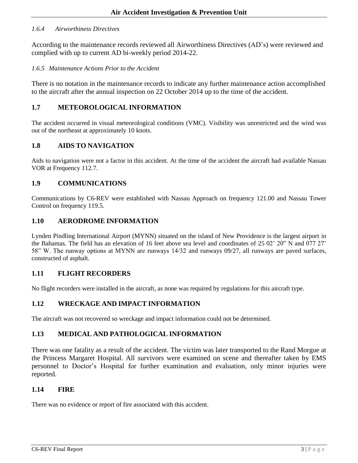#### <span id="page-11-0"></span>*1.6.4 Airworthiness Directives*

According to the maintenance records reviewed all Airworthiness Directives (AD's) were reviewed and complied with up to current AD bi-weekly period 2014-22.

#### <span id="page-11-1"></span>*1.6.5 Maintenance Actions Prior to the Accident*

There is no notation in the maintenance records to indicate any further maintenance action accomplished to the aircraft after the annual inspection on 22 October 2014 up to the time of the accident.

#### <span id="page-11-2"></span>**1.7 METEOROLOGICAL INFORMATION**

The accident occurred in visual meteorological conditions (VMC). Visibility was unrestricted and the wind was out of the northeast at approximately 10 knots.

#### <span id="page-11-3"></span>**1.8 AIDS TO NAVIGATION**

Aids to navigation were not a factor in this accident. At the time of the accident the aircraft had available Nassau VOR at Frequency 112.7.

#### <span id="page-11-4"></span>**1.9 COMMUNICATIONS**

Communications by C6-REV were established with Nassau Approach on frequency 121.00 and Nassau Tower Control on frequency 119.5.

#### <span id="page-11-5"></span>**1.10 AERODROME INFORMATION**

Lynden Pindling International Airport (MYNN) situated on the island of New Providence is the largest airport in the Bahamas. The field has an elevation of 16 feet above sea level and coordinates of 25 02' 20" N and 077 27' 58" W. The runway options at MYNN are runways 14/32 and runways 09/27, all runways are paved surfaces, constructed of asphalt.

#### <span id="page-11-6"></span>**1.11 FLIGHT RECORDERS**

No flight recorders were installed in the aircraft, as none was required by regulations for this aircraft type.

#### <span id="page-11-7"></span>**1.12 WRECKAGE AND IMPACT INFORMATION**

The aircraft was not recovered so wreckage and impact information could not be determined.

#### <span id="page-11-8"></span>**1.13 MEDICAL AND PATHOLOGICAL INFORMATION**

There was one fatality as a result of the accident. The victim was later transported to the Rand Morgue at the Princess Margaret Hospital. All survivors were examined on scene and thereafter taken by EMS personnel to Doctor's Hospital for further examination and evaluation, only minor injuries were reported.

#### <span id="page-11-9"></span>**1.14 FIRE**

There was no evidence or report of fire associated with this accident.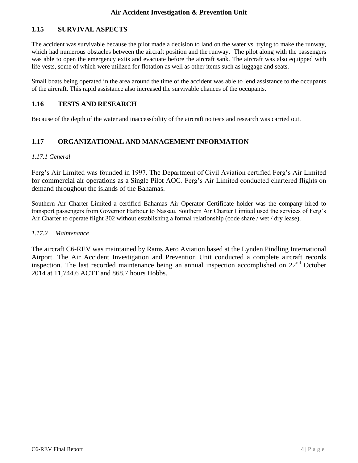### <span id="page-12-0"></span>**1.15 SURVIVAL ASPECTS**

The accident was survivable because the pilot made a decision to land on the water vs. trying to make the runway, which had numerous obstacles between the aircraft position and the runway. The pilot along with the passengers was able to open the emergency exits and evacuate before the aircraft sank. The aircraft was also equipped with life vests, some of which were utilized for flotation as well as other items such as luggage and seats.

Small boats being operated in the area around the time of the accident was able to lend assistance to the occupants of the aircraft. This rapid assistance also increased the survivable chances of the occupants.

#### <span id="page-12-1"></span>**1.16 TESTS AND RESEARCH**

Because of the depth of the water and inaccessibility of the aircraft no tests and research was carried out.

### <span id="page-12-2"></span>**1.17 ORGANIZATIONAL AND MANAGEMENT INFORMATION**

#### <span id="page-12-3"></span>*1.17.1 General*

Ferg's Air Limited was founded in 1997. The Department of Civil Aviation certified Ferg's Air Limited for commercial air operations as a Single Pilot AOC. Ferg's Air Limited conducted chartered flights on demand throughout the islands of the Bahamas.

Southern Air Charter Limited a certified Bahamas Air Operator Certificate holder was the company hired to transport passengers from Governor Harbour to Nassau. Southern Air Charter Limited used the services of Ferg's Air Charter to operate flight 302 without establishing a formal relationship (code share / wet / dry lease).

#### <span id="page-12-4"></span>*1.17.2 Maintenance*

The aircraft C6-REV was maintained by Rams Aero Aviation based at the Lynden Pindling International Airport. The Air Accident Investigation and Prevention Unit conducted a complete aircraft records inspection. The last recorded maintenance being an annual inspection accomplished on  $22<sup>nd</sup>$  October 2014 at 11,744.6 ACTT and 868.7 hours Hobbs.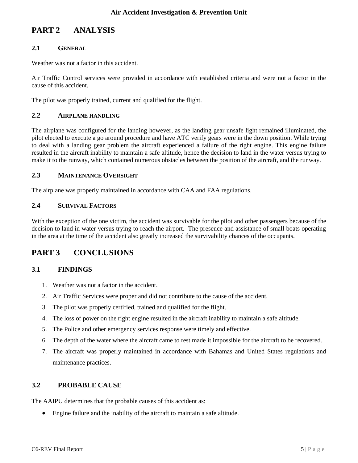# <span id="page-13-0"></span>**PART 2 ANALYSIS**

#### <span id="page-13-1"></span>**2.1 GENERAL**

Weather was not a factor in this accident.

Air Traffic Control services were provided in accordance with established criteria and were not a factor in the cause of this accident.

The pilot was properly trained, current and qualified for the flight.

#### <span id="page-13-2"></span>**2.2 AIRPLANE HANDLING**

The airplane was configured for the landing however, as the landing gear unsafe light remained illuminated, the pilot elected to execute a go around procedure and have ATC verify gears were in the down position. While trying to deal with a landing gear problem the aircraft experienced a failure of the right engine. This engine failure resulted in the aircraft inability to maintain a safe altitude, hence the decision to land in the water versus trying to make it to the runway, which contained numerous obstacles between the position of the aircraft, and the runway.

#### <span id="page-13-3"></span>**2.3 MAINTENANCE OVERSIGHT**

The airplane was properly maintained in accordance with CAA and FAA regulations.

#### <span id="page-13-4"></span>**2.4 SURVIVAL FACTORS**

With the exception of the one victim, the accident was survivable for the pilot and other passengers because of the decision to land in water versus trying to reach the airport. The presence and assistance of small boats operating in the area at the time of the accident also greatly increased the survivability chances of the occupants.

### <span id="page-13-5"></span>**PART 3 CONCLUSIONS**

#### <span id="page-13-6"></span>**3.1 FINDINGS**

- 1. Weather was not a factor in the accident.
- 2. Air Traffic Services were proper and did not contribute to the cause of the accident.
- 3. The pilot was properly certified, trained and qualified for the flight.
- 4. The loss of power on the right engine resulted in the aircraft inability to maintain a safe altitude.
- 5. The Police and other emergency services response were timely and effective.
- 6. The depth of the water where the aircraft came to rest made it impossible for the aircraft to be recovered.
- 7. The aircraft was properly maintained in accordance with Bahamas and United States regulations and maintenance practices.

#### <span id="page-13-7"></span>**3.2 PROBABLE CAUSE**

The AAIPU determines that the probable causes of this accident as:

Engine failure and the inability of the aircraft to maintain a safe altitude.